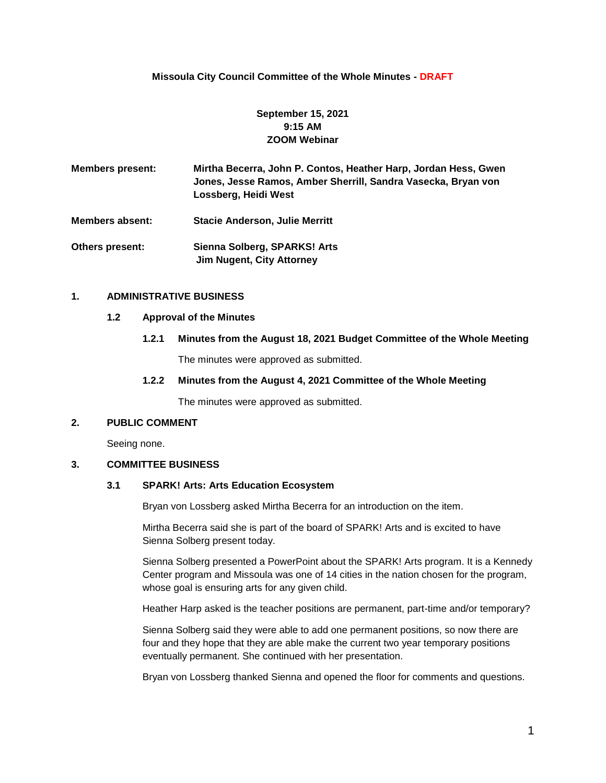## **Missoula City Council Committee of the Whole Minutes - DRAFT**

# **September 15, 2021 9:15 AM ZOOM Webinar**

**Members present: Mirtha Becerra, John P. Contos, Heather Harp, Jordan Hess, Gwen Jones, Jesse Ramos, Amber Sherrill, Sandra Vasecka, Bryan von Lossberg, Heidi West**

**Members absent: Stacie Anderson, Julie Merritt**

**Others present: Sienna Solberg, SPARKS! Arts Jim Nugent, City Attorney**

#### **1. ADMINISTRATIVE BUSINESS**

#### **1.2 Approval of the Minutes**

### **1.2.1 Minutes from the August 18, 2021 Budget Committee of the Whole Meeting**

The minutes were approved as submitted.

### **1.2.2 Minutes from the August 4, 2021 Committee of the Whole Meeting**

The minutes were approved as submitted.

#### **2. PUBLIC COMMENT**

Seeing none.

## **3. COMMITTEE BUSINESS**

#### **3.1 SPARK! Arts: Arts Education Ecosystem**

Bryan von Lossberg asked Mirtha Becerra for an introduction on the item.

Mirtha Becerra said she is part of the board of SPARK! Arts and is excited to have Sienna Solberg present today.

Sienna Solberg presented a PowerPoint about the SPARK! Arts program. It is a Kennedy Center program and Missoula was one of 14 cities in the nation chosen for the program, whose goal is ensuring arts for any given child.

Heather Harp asked is the teacher positions are permanent, part-time and/or temporary?

Sienna Solberg said they were able to add one permanent positions, so now there are four and they hope that they are able make the current two year temporary positions eventually permanent. She continued with her presentation.

Bryan von Lossberg thanked Sienna and opened the floor for comments and questions.